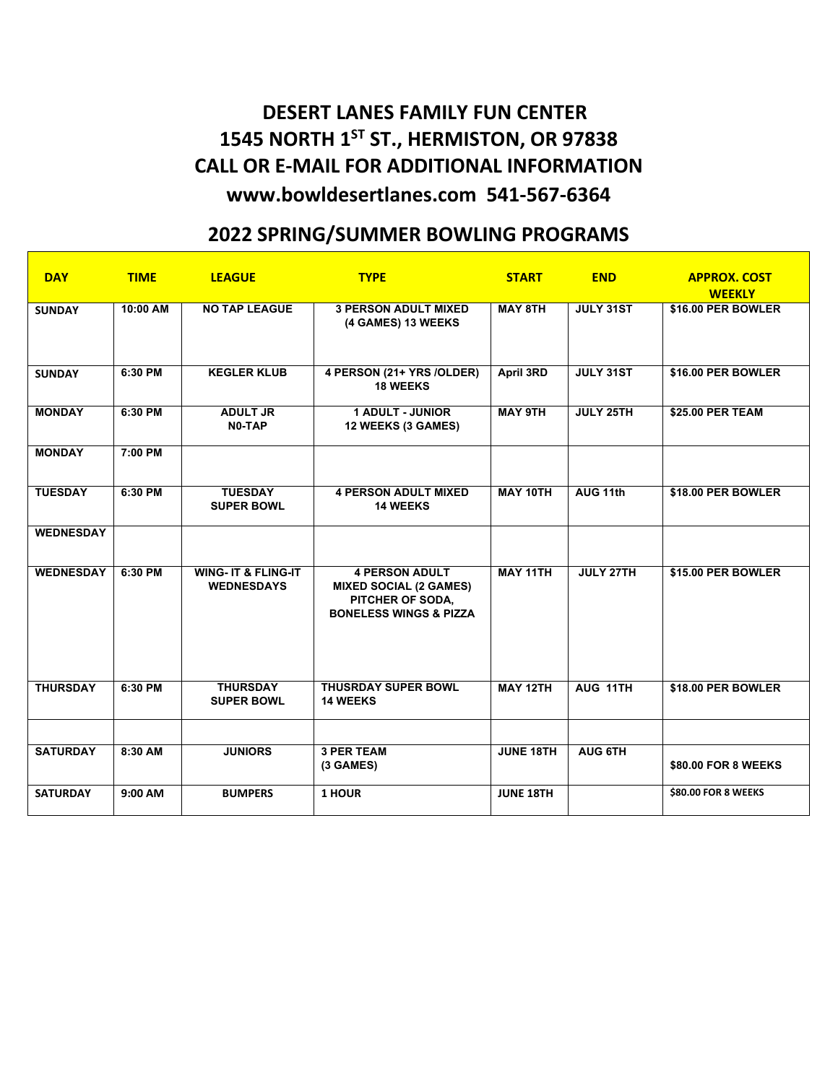## **DESERT LANES FAMILY FUN CENTER 1545 NORTH 1ST ST., HERMISTON, OR 97838 CALL OR E-MAIL FOR ADDITIONAL INFORMATION www.bowldesertlanes.com 541-567-6364**

## **2022 SPRING/SUMMER BOWLING PROGRAMS**

| <b>DAY</b>       | <b>TIME</b> | <b>LEAGUE</b>                                       | <b>TYPE</b>                                                                                                     | <b>START</b>     | <b>END</b>       | <b>APPROX. COST</b><br><b>WEEKLY</b> |
|------------------|-------------|-----------------------------------------------------|-----------------------------------------------------------------------------------------------------------------|------------------|------------------|--------------------------------------|
| <b>SUNDAY</b>    | 10:00 AM    | <b>NO TAP LEAGUE</b>                                | <b>3 PERSON ADULT MIXED</b><br>(4 GAMES) 13 WEEKS                                                               | <b>MAY 8TH</b>   | JULY 31ST        | \$16.00 PER BOWLER                   |
| <b>SUNDAY</b>    | 6:30 PM     | <b>KEGLER KLUB</b>                                  | 4 PERSON (21+ YRS /OLDER)<br><b>18 WEEKS</b>                                                                    | April 3RD        | <b>JULY 31ST</b> | \$16.00 PER BOWLER                   |
| <b>MONDAY</b>    | 6:30 PM     | <b>ADULT JR</b><br>NO-TAP                           | <b>1 ADULT - JUNIOR</b><br>12 WEEKS (3 GAMES)                                                                   | <b>MAY 9TH</b>   | JULY 25TH        | \$25.00 PER TEAM                     |
| <b>MONDAY</b>    | 7:00 PM     |                                                     |                                                                                                                 |                  |                  |                                      |
| <b>TUESDAY</b>   | 6:30 PM     | <b>TUESDAY</b><br><b>SUPER BOWL</b>                 | <b>4 PERSON ADULT MIXED</b><br><b>14 WEEKS</b>                                                                  | <b>MAY 10TH</b>  | AUG 11th         | \$18.00 PER BOWLER                   |
| <b>WEDNESDAY</b> |             |                                                     |                                                                                                                 |                  |                  |                                      |
| <b>WEDNESDAY</b> | 6:30 PM     | <b>WING- IT &amp; FLING-IT</b><br><b>WEDNESDAYS</b> | <b>4 PERSON ADULT</b><br><b>MIXED SOCIAL (2 GAMES)</b><br>PITCHER OF SODA,<br><b>BONELESS WINGS &amp; PIZZA</b> | <b>MAY 11TH</b>  | JULY 27TH        | \$15.00 PER BOWLER                   |
| <b>THURSDAY</b>  | 6:30 PM     | <b>THURSDAY</b><br><b>SUPER BOWL</b>                | <b>THUSRDAY SUPER BOWL</b><br><b>14 WEEKS</b>                                                                   | MAY 12TH         | AUG 11TH         | \$18.00 PER BOWLER                   |
| <b>SATURDAY</b>  | 8:30 AM     | <b>JUNIORS</b>                                      | <b>3 PER TEAM</b><br>$(3$ GAMES)                                                                                | <b>JUNE 18TH</b> | AUG 6TH          | \$80.00 FOR 8 WEEKS                  |
| <b>SATURDAY</b>  | 9:00 AM     | <b>BUMPERS</b>                                      | <b>1 HOUR</b>                                                                                                   | <b>JUNE 18TH</b> |                  | <b>\$80.00 FOR 8 WEEKS</b>           |